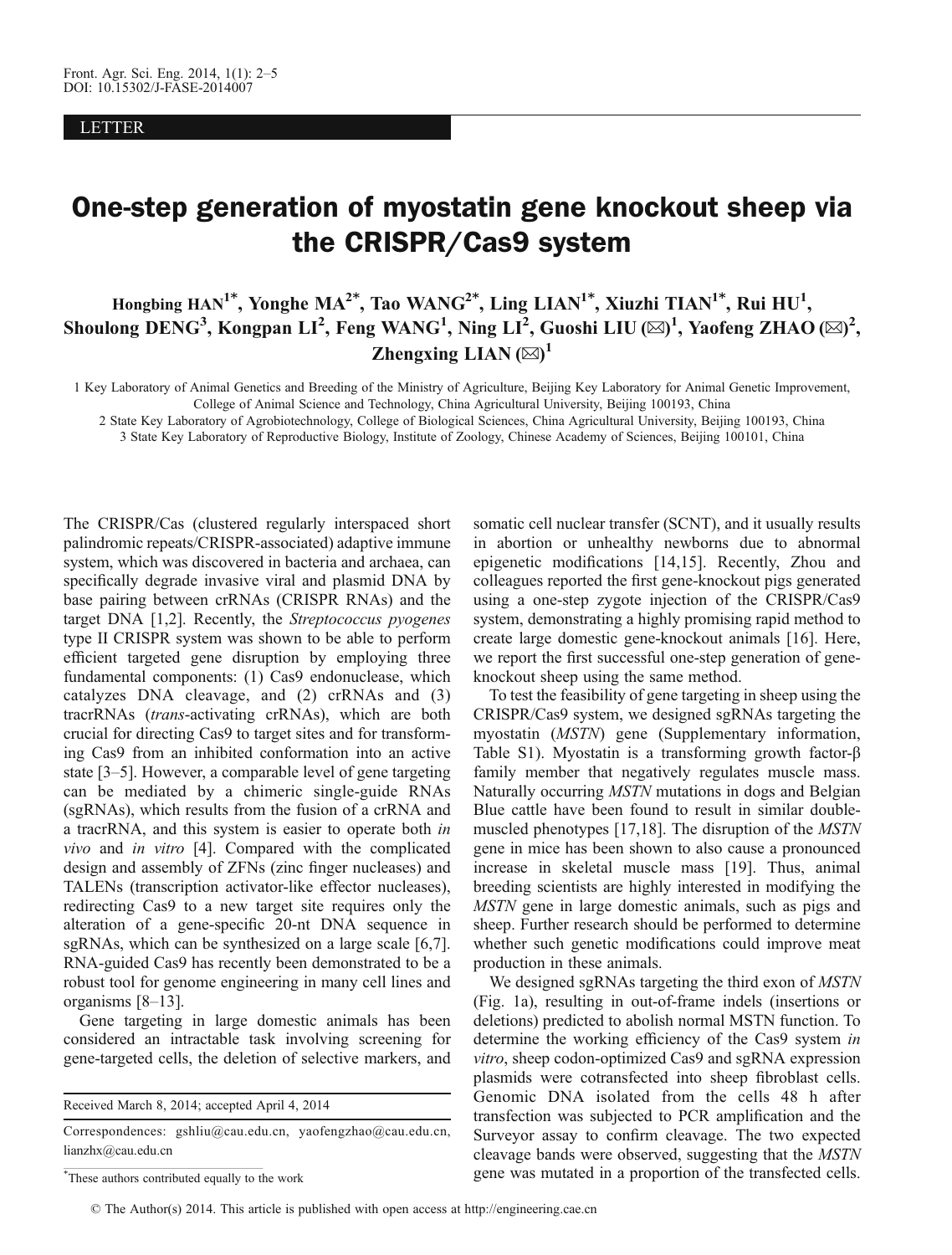LETTER

## $\overline{O}$  and  $\overline{O}$  the CRISPR/Cas9 system is the contract sheep via  $\overline{O}$ the CRISPR/Cas9 system

Hongbing HAN<sup>1\*</sup>, Yonghe MA<sup>2\*</sup>, Tao WANG<sup>2\*</sup>, Ling LIAN<sup>1\*</sup>, Xiuzhi TIAN<sup>1\*</sup>, Rui HU<sup>1</sup>, Shoulong DENG<sup>3</sup>, Kongpan LI<sup>2</sup>, Feng WANG<sup>1</sup>, Ning LI<sup>2</sup>, Guoshi LIU (⊠)<sup>1</sup>, Yaofeng ZHAO (⊠)<sup>2</sup>, Zhengxing LIAN  $(\boxtimes)^1$ 

1 Key Laboratory of Animal Genetics and Breeding of the Ministry of Agriculture, Beijing Key Laboratory for Animal Genetic Improvement, College of Animal Science and Technology, China Agricultural University, Beijing 100193, China

2 State Key Laboratory of Agrobiotechnology, College of Biological Sciences, China Agricultural University, Beijing 100193, China

3 State Key Laboratory of Reproductive Biology, Institute of Zoology, Chinese Academy of Sciences, Beijing 100101, China

The CRISPR/Cas (clustered regularly interspaced short palindromic repeats/CRISPR-associated) adaptive immune system, which was discovered in bacteria and archaea, can specifically degrade invasive viral and plasmid DNA by base pairing between crRNAs (CRISPR RNAs) and the target DNA [[1,2\]](#page-2-0). Recently, the Streptococcus pyogenes type II CRISPR system was shown to be able to perform efficient targeted gene disruption by employing three fundamental components: (1) Cas9 endonuclease, which catalyzes DNA cleavage, and (2) crRNAs and (3) tracrRNAs (trans-activating crRNAs), which are both crucial for directing Cas9 to target sites and for transforming Cas9 from an inhibited conformation into an active state [\[3](#page-2-0)–[5](#page-2-0)]. However, a comparable level of gene targeting can be mediated by a chimeric single-guide RNAs (sgRNAs), which results from the fusion of a crRNA and a tracrRNA, and this system is easier to operate both in vivo and in vitro [\[4\]](#page-2-0). Compared with the complicated design and assembly of ZFNs (zinc finger nucleases) and TALENs (transcription activator-like effector nucleases), redirecting Cas9 to a new target site requires only the alteration of a gene-specific 20-nt DNA sequence in sgRNAs, which can be synthesized on a large scale [[6](#page-2-0),[7](#page-2-0)]. RNA-guided Cas9 has recently been demonstrated to be a robust tool for genome engineering in many cell lines and organisms [[8](#page-2-0)–[13\]](#page-2-0).

Gene targeting in large domestic animals has been considered an intractable task involving screening for gene-targeted cells, the deletion of selective markers, and

Received March 8, 2014; accepted April 4, 2014

somatic cell nuclear transfer (SCNT), and it usually results in abortion or unhealthy newborns due to abnormal epigenetic modifications [[14](#page-2-0),[15](#page-2-0)]. Recently, Zhou and colleagues reported the first gene-knockout pigs generated using a one-step zygote injection of the CRISPR/Cas9 system, demonstrating a highly promising rapid method to create large domestic gene-knockout animals [[16](#page-2-0)]. Here, we report the first successful one-step generation of geneknockout sheep using the same method.

To test the feasibility of gene targeting in sheep using the CRISPR/Cas9 system, we designed sgRNAs targeting the myostatin (MSTN) gene (Supplementary information, Table S1). Myostatin is a transforming growth factor-β family member that negatively regulates muscle mass. Naturally occurring MSTN mutations in dogs and Belgian Blue cattle have been found to result in similar doublemuscled phenotypes [[17](#page-2-0),[18](#page-3-0)]. The disruption of the MSTN gene in mice has been shown to also cause a pronounced increase in skeletal muscle mass [[19](#page-3-0)]. Thus, animal breeding scientists are highly interested in modifying the MSTN gene in large domestic animals, such as pigs and sheep. Further research should be performed to determine whether such genetic modifications could improve meat production in these animals.

We designed sgRNAs targeting the third exon of *MSTN* (Fig. 1a), resulting in out-of-frame indels (insertions or deletions) predicted to abolish normal MSTN function. To determine the working efficiency of the Cas9 system in vitro, sheep codon-optimized Cas9 and sgRNA expression plasmids were cotransfected into sheep fibroblast cells. Genomic DNA isolated from the cells 48 h after transfection was subjected to PCR amplification and the Surveyor assay to confirm cleavage. The two expected cleavage bands were observed, suggesting that the MSTN gene was mutated in a proportion of the transfected cells.

Correspondences: gshliu@cau.edu.cn, yaofengzhao@cau.edu.cn, lianzhx@cau.edu.cn

<sup>\*</sup> These authors contributed equally to the work

<sup>©</sup> The Author(s) 2014. This article is published with open access at http://engineering.cae.cn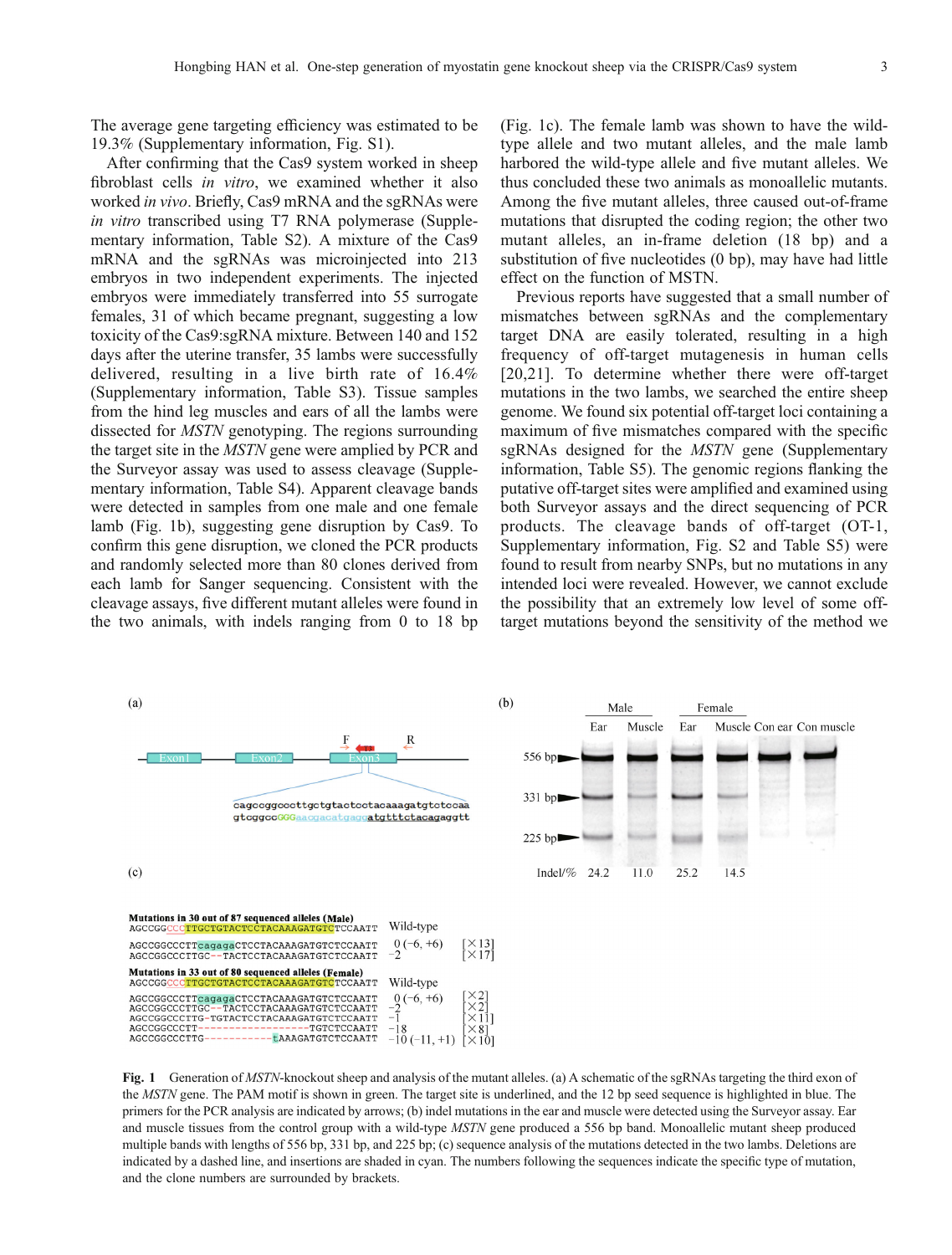The average gene targeting efficiency was estimated to be 19.3% (Supplementary information, Fig. S1).

After confirming that the Cas9 system worked in sheep fibroblast cells in vitro, we examined whether it also worked in vivo. Briefly, Cas9 mRNA and the sgRNAs were in vitro transcribed using T7 RNA polymerase (Supplementary information, Table S2). A mixture of the Cas9 mRNA and the sgRNAs was microinjected into 213 embryos in two independent experiments. The injected embryos were immediately transferred into 55 surrogate females, 31 of which became pregnant, suggesting a low toxicity of the Cas9:sgRNA mixture. Between 140 and 152 days after the uterine transfer, 35 lambs were successfully delivered, resulting in a live birth rate of 16.4% (Supplementary information, Table S3). Tissue samples from the hind leg muscles and ears of all the lambs were dissected for MSTN genotyping. The regions surrounding the target site in the MSTN gene were amplied by PCR and the Surveyor assay was used to assess cleavage (Supplementary information, Table S4). Apparent cleavage bands were detected in samples from one male and one female lamb (Fig. 1b), suggesting gene disruption by Cas9. To confirm this gene disruption, we cloned the PCR products and randomly selected more than 80 clones derived from each lamb for Sanger sequencing. Consistent with the cleavage assays, five different mutant alleles were found in the two animals, with indels ranging from 0 to 18 bp

(Fig. 1c). The female lamb was shown to have the wildtype allele and two mutant alleles, and the male lamb harbored the wild-type allele and five mutant alleles. We thus concluded these two animals as monoallelic mutants. Among the five mutant alleles, three caused out-of-frame mutations that disrupted the coding region; the other two mutant alleles, an in-frame deletion (18 bp) and a substitution of five nucleotides (0 bp), may have had little effect on the function of MSTN.

Previous reports have suggested that a small number of mismatches between sgRNAs and the complementary target DNA are easily tolerated, resulting in a high frequency of off-target mutagenesis in human cells [[20](#page-3-0),[21\]](#page-3-0). To determine whether there were off-target mutations in the two lambs, we searched the entire sheep genome. We found six potential off-target loci containing a maximum of five mismatches compared with the specific sgRNAs designed for the *MSTN* gene (Supplementary information, Table S5). The genomic regions flanking the putative off-target sites were amplified and examined using both Surveyor assays and the direct sequencing of PCR products. The cleavage bands of off-target (OT-1, Supplementary information, Fig. S2 and Table S5) were found to result from nearby SNPs, but no mutations in any intended loci were revealed. However, we cannot exclude the possibility that an extremely low level of some offtarget mutations beyond the sensitivity of the method we



Fig. 1 Generation of *MSTN*-knockout sheep and analysis of the mutant alleles. (a) A schematic of the sgRNAs targeting the third exon of the MSTN gene. The PAM motif is shown in green. The target site is underlined, and the 12 bp seed sequence is highlighted in blue. The primers for the PCR analysis are indicated by arrows; (b) indel mutations in the ear and muscle were detected using the Surveyor assay. Ear and muscle tissues from the control group with a wild-type MSTN gene produced a 556 bp band. Monoallelic mutant sheep produced multiple bands with lengths of 556 bp, 331 bp, and 225 bp; (c) sequence analysis of the mutations detected in the two lambs. Deletions are indicated by a dashed line, and insertions are shaded in cyan. The numbers following the sequences indicate the specific type of mutation, and the clone numbers are surrounded by brackets.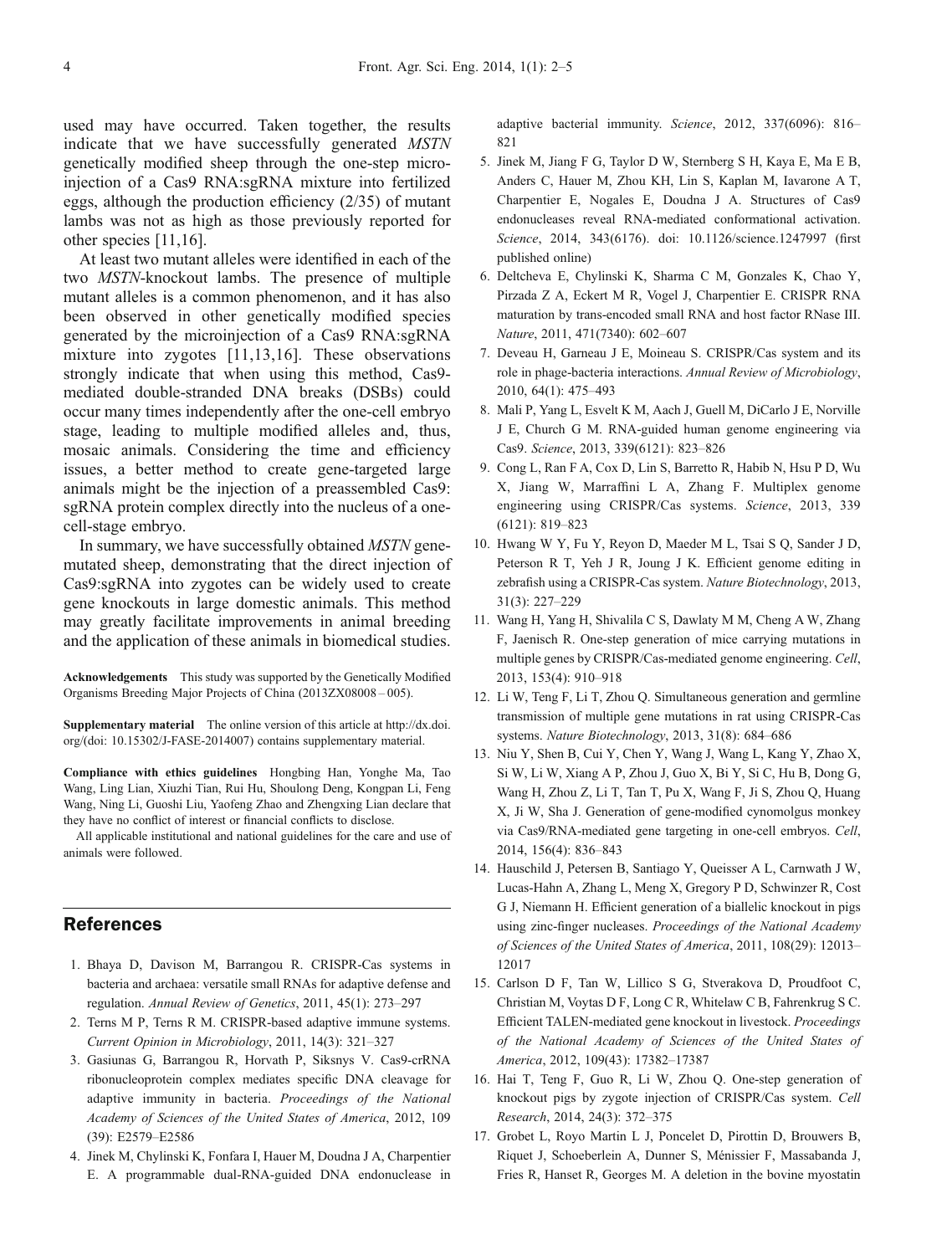<span id="page-2-0"></span>used may have occurred. Taken together, the results indicate that we have successfully generated MSTN genetically modified sheep through the one-step microinjection of a Cas9 RNA:sgRNA mixture into fertilized eggs, although the production efficiency (2/35) of mutant lambs was not as high as those previously reported for other species [11,16].

At least two mutant alleles were identified in each of the two MSTN-knockout lambs. The presence of multiple mutant alleles is a common phenomenon, and it has also been observed in other genetically modified species generated by the microinjection of a Cas9 RNA:sgRNA mixture into zygotes [11,13,16]. These observations strongly indicate that when using this method, Cas9 mediated double-stranded DNA breaks (DSBs) could occur many times independently after the one-cell embryo stage, leading to multiple modified alleles and, thus, mosaic animals. Considering the time and efficiency issues, a better method to create gene-targeted large animals might be the injection of a preassembled Cas9: sgRNA protein complex directly into the nucleus of a onecell-stage embryo.

In summary, we have successfully obtained MSTN genemutated sheep, demonstrating that the direct injection of Cas9:sgRNA into zygotes can be widely used to create gene knockouts in large domestic animals. This method may greatly facilitate improvements in animal breeding and the application of these animals in biomedical studies.

Acknowledgements This study was supported by the Genetically Modified Organisms Breeding Major Projects of China (2013ZX08008 – 005).

Supplementary material The online version of this article at http://dx.doi. org/(doi: 10.15302/J-FASE-2014007) contains supplementary material.

Compliance with ethics guidelines Hongbing Han, Yonghe Ma, Tao Wang, Ling Lian, Xiuzhi Tian, Rui Hu, Shoulong Deng, Kongpan Li, Feng Wang, Ning Li, Guoshi Liu, Yaofeng Zhao and Zhengxing Lian declare that they have no conflict of interest or financial conflicts to disclose.

All applicable institutional and national guidelines for the care and use of animals were followed.

## **References**

- 1. Bhaya D, Davison M, Barrangou R. CRISPR-Cas systems in bacteria and archaea: versatile small RNAs for adaptive defense and regulation. Annual Review of Genetics, 2011, 45(1): 273–297
- 2. Terns M P, Terns R M. CRISPR-based adaptive immune systems. Current Opinion in Microbiology, 2011, 14(3): 321–327
- 3. Gasiunas G, Barrangou R, Horvath P, Siksnys V. Cas9-crRNA ribonucleoprotein complex mediates specific DNA cleavage for adaptive immunity in bacteria. Proceedings of the National Academy of Sciences of the United States of America, 2012, 109 (39): E2579–E2586
- 4. Jinek M, Chylinski K, Fonfara I, Hauer M, Doudna J A, Charpentier E. A programmable dual-RNA-guided DNA endonuclease in

adaptive bacterial immunity. Science, 2012, 337(6096): 816– 821

- 5. Jinek M, Jiang F G, Taylor D W, Sternberg S H, Kaya E, Ma E B, Anders C, Hauer M, Zhou KH, Lin S, Kaplan M, Iavarone A T, Charpentier E, Nogales E, Doudna J A. Structures of Cas9 endonucleases reveal RNA-mediated conformational activation. Science, 2014, 343(6176). doi: 10.1126/science.1247997 (first published online)
- 6. Deltcheva E, Chylinski K, Sharma C M, Gonzales K, Chao Y, Pirzada Z A, Eckert M R, Vogel J, Charpentier E. CRISPR RNA maturation by trans-encoded small RNA and host factor RNase III. Nature, 2011, 471(7340): 602–607
- 7. Deveau H, Garneau J E, Moineau S. CRISPR/Cas system and its role in phage-bacteria interactions. Annual Review of Microbiology, 2010, 64(1): 475–493
- 8. Mali P, Yang L, Esvelt K M, Aach J, Guell M, DiCarlo J E, Norville J E, Church G M. RNA-guided human genome engineering via Cas9. Science, 2013, 339(6121): 823–826
- 9. Cong L, Ran F A, Cox D, Lin S, Barretto R, Habib N, Hsu P D, Wu X, Jiang W, Marraffini L A, Zhang F. Multiplex genome engineering using CRISPR/Cas systems. Science, 2013, 339 (6121): 819–823
- 10. Hwang W Y, Fu Y, Reyon D, Maeder M L, Tsai S Q, Sander J D, Peterson R T, Yeh J R, Joung J K. Efficient genome editing in zebrafish using a CRISPR-Cas system. Nature Biotechnology, 2013, 31(3): 227–229
- 11. Wang H, Yang H, Shivalila C S, Dawlaty M M, Cheng A W, Zhang F, Jaenisch R. One-step generation of mice carrying mutations in multiple genes by CRISPR/Cas-mediated genome engineering. Cell, 2013, 153(4): 910–918
- 12. Li W, Teng F, Li T, Zhou Q. Simultaneous generation and germline transmission of multiple gene mutations in rat using CRISPR-Cas systems. Nature Biotechnology, 2013, 31(8): 684–686
- 13. Niu Y, Shen B, Cui Y, Chen Y, Wang J, Wang L, Kang Y, Zhao X, Si W, Li W, Xiang A P, Zhou J, Guo X, Bi Y, Si C, Hu B, Dong G, Wang H, Zhou Z, Li T, Tan T, Pu X, Wang F, Ji S, Zhou Q, Huang X, Ji W, Sha J. Generation of gene-modified cynomolgus monkey via Cas9/RNA-mediated gene targeting in one-cell embryos. Cell, 2014, 156(4): 836–843
- 14. Hauschild J, Petersen B, Santiago Y, Queisser A L, Carnwath J W, Lucas-Hahn A, Zhang L, Meng X, Gregory P D, Schwinzer R, Cost G J, Niemann H. Efficient generation of a biallelic knockout in pigs using zinc-finger nucleases. Proceedings of the National Academy of Sciences of the United States of America, 2011, 108(29): 12013– 12017
- 15. Carlson D F, Tan W, Lillico S G, Stverakova D, Proudfoot C, Christian M, Voytas D F, Long C R, Whitelaw C B, Fahrenkrug S C. Efficient TALEN-mediated gene knockout in livestock. Proceedings of the National Academy of Sciences of the United States of America, 2012, 109(43): 17382–17387
- 16. Hai T, Teng F, Guo R, Li W, Zhou Q. One-step generation of knockout pigs by zygote injection of CRISPR/Cas system. Cell Research, 2014, 24(3): 372–375
- 17. Grobet L, Royo Martin L J, Poncelet D, Pirottin D, Brouwers B, Riquet J, Schoeberlein A, Dunner S, Ménissier F, Massabanda J, Fries R, Hanset R, Georges M. A deletion in the bovine myostatin